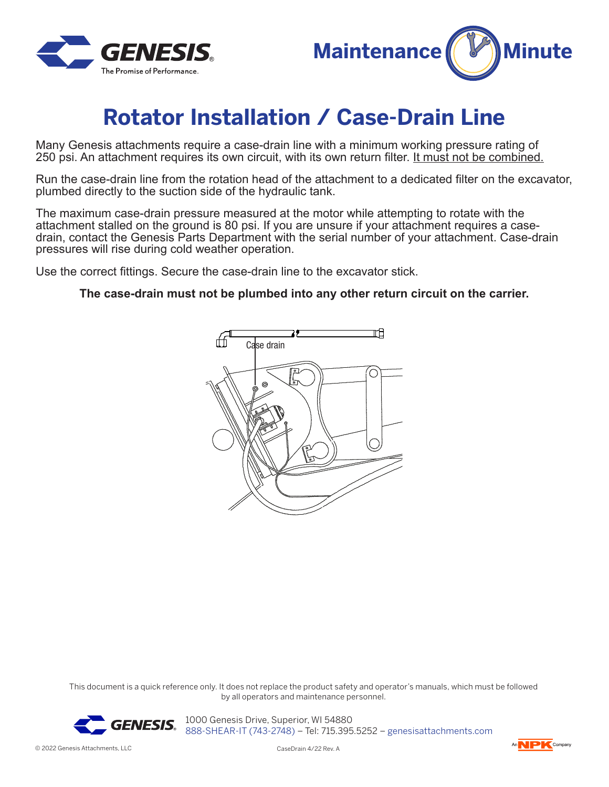



## **Rotator Installation / Case-Drain Line**

Many Genesis attachments require a case-drain line with a minimum working pressure rating of 250 psi. An attachment requires its own circuit, with its own return filter. It must not be combined.

Run the case-drain line from the rotation head of the attachment to a dedicated filter on the excavator, plumbed directly to the suction side of the hydraulic tank.

The maximum case-drain pressure measured at the motor while attempting to rotate with the attachment stalled on the ground is 80 psi. If you are unsure if your attachment requires a casedrain, contact the Genesis Parts Department with the serial number of your attachment. Case-drain pressures will rise during cold weather operation.

Use the correct fittings. Secure the case-drain line to the excavator stick.

## **The case-drain must not be plumbed into any other return circuit on the carrier.**



This document is a quick reference only. It does not replace the product safety and operator's manuals, which must be followed by all operators and maintenance personnel.



**GENESIS** 2000 Genesis Drive, Superior, WI 54880 888-SHEAR-IT (743-2748) – Tel: 715.395.5252 – genesisattachments.com